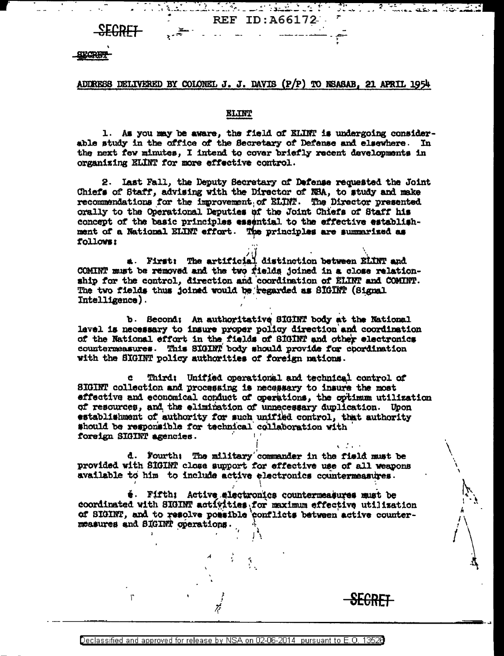# ADDRESS DELIVERED BY COLONEL J. J. DAVIS (P/P) TO NSASAB, 21 APRIL 1954

Mulikula s<u>eg</u>aat REF ID: A66172

<u> پاکستان است. است.</u>

### **ELINT**

1. As you may be aware, the field of ELINT is undergoing considerable study in the office of the Secretary of Defense and elsewhere. In the next few minutes. I intend to cover briefly recent developments in organizing ELINT for more effective control.

2. Last Fall, the Deputy Secretary of Defense requested the Joint Chiefs of Staff, advising with the Director of NBA, to study and make recommendations for the improvement of ELINT. The Director presented orally to the Operational Deputies of the Joint Chiefs of Staff his concept of the basic principles essential to the effective establishment of a National ELINT effort. The principles are summarized as follows:

a. First: The artificial distinction between ELINT and COMINT must be removed and the two fields joined in a close relationship for the control, direction and coordination of ELINT and COMINT. The two fields thus joined would be regarded as SIGINT (Signal Intelligence).

b. Second: An authoritative SIGINT body at the National level is necessary to insure proper policy direction and coordination of the National effort in the fields of SIGINT and other electronics countermeasures. This SIGINT body should provide for coordination with the SIGINT policy authorities of foreign nations.

Ċ. Third: Unified operational and technical control of SIGINT collection and processing is necessary to insure the most effective and economical conduct of operations, the optimum utilization of resources, and the elimination of unnecessary duplication. Upon establishment of authority for such unified control, that authority should be responsible for technical collaboration with foreign SIGINT agencies.

 $\chi \sim 10^{-11}$ 

d. Fourth: The military commander in the field must be provided with SIGINT close support for effective use of all weapons available to him to include active electronics countermeasures.

é. Fifth: Active electronics countermeasures must be coordinated with SIGINT activities, for maximum effective utilization of SIGINT, and to resolve possible conflicts between active countermeasures and SIGINT operations.

r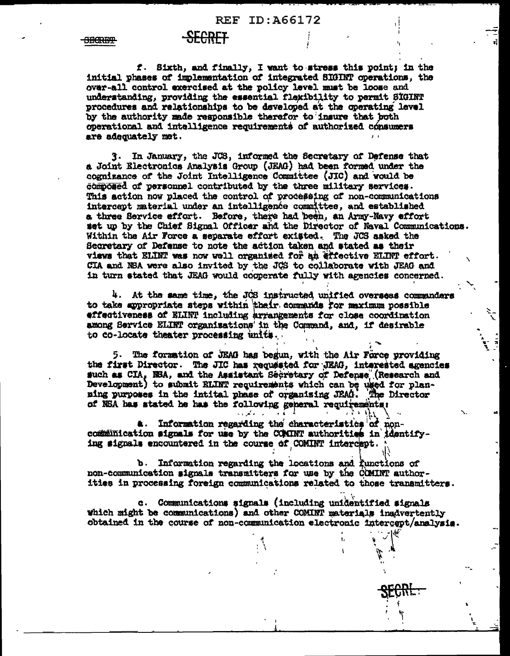### REF ID: A66172

# -SECRET

<del>SECRET</del>

f. Sixth, and finally, I want to stress this point; in the initial phases of implementation of integrated SIGINT operations, the over-all control exercised at the policy level must be loose and understanding, providing the essential flexibility to permit SIGINT procedures and relationships to be developed at the operating level by the authority made responsible therefor to insure that both operational and intelligence requirements of authorized consumers are adequately met.

3. In January, the JCS, informed the Secretary of Defense that a Joint Electronics Analysis Group (JEAG) had been formed under the cognizance of the Joint Intelligence Committee (JIC) and would be composed of personnel contributed by the three military services. This action now placed the control of processing of non-communications intercept material under an intelligence committee, and established a three Service effort. Before, there had been, an Army-Navy effort set up by the Chief Signal Officer and the Director of Naval Communications. Within the Air Force a separate effort existed. The JCS asked the Secretary of Defense to note the action taken and stated as their views that ELINT was now well organised for an effective ELINT effort. CIA and NSA were also invited by the JCS to collaborate with JEAG and in turn stated that JEAG would cooperate fully with agencies concerned.

4. At the same time, the JCS instructed unified overseas commanders to take appropriate steps within their commands for maximum possible effectiveness of ELINT including arrangements for close coordination among Service ELINT organisations in the Command, and, if desirable to co-locate theater processing units.

5. The formation of JEAG has begun, with the Air Force providing the first Director. The JIC has requested for JEAG, interested agencies such as CIA, NBA, and the Assistant Secretary of Defense (Research and Development) to submit ELINT requirements which can be used for plan-<br>hevelopment) to submit ELINT requirements which can be used for planof NSA has stated he has the following general requirements:

Information regarding the characteristics of non-蚃. communication signals for use by the COMINT authorities in identifying signals encountered in the course of COMINT intercept.

b. Information regarding the locations and functions of non-communication signals transmitters for use by the COMINT authorities in processing foreign communications related to those transmitters.

c. Communications signals (including unidentified signals which might be communications) and other COMINT materials inadvertently obtained in the course of non-communication electronic intercept/analysis.